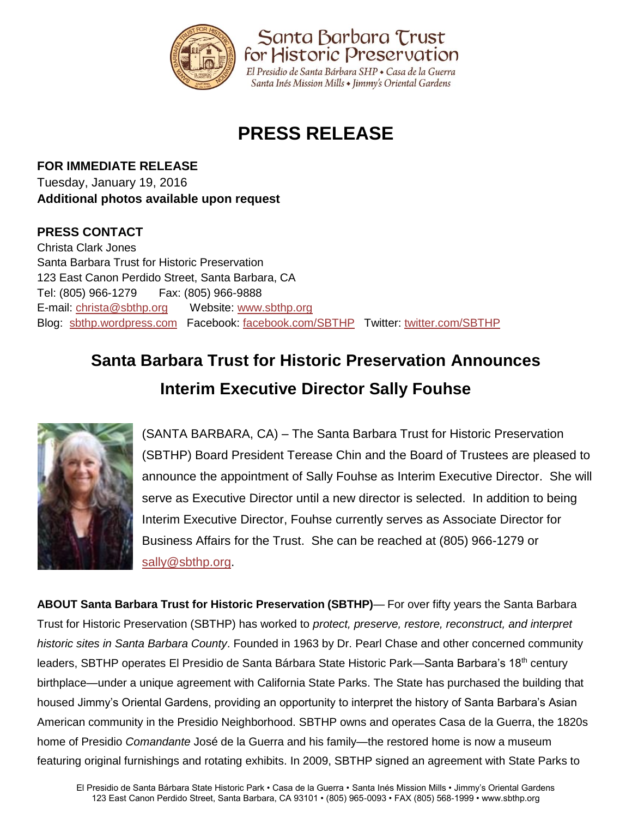

## **PRESS RELEASE**

**FOR IMMEDIATE RELEASE** Tuesday, January 19, 2016 **Additional photos available upon request**

## **PRESS CONTACT**

Christa Clark Jones Santa Barbara Trust for Historic Preservation 123 East Canon Perdido Street, Santa Barbara, CA Tel: (805) 966-1279 Fax: (805) 966-9888 E-mail: [christa@sbthp.org](mailto:christa@sbthp.org) Website: [www.sbthp.org](http://www.sbthp.org/) Blog: [sbthp.wordpress.com](http://sbthp.wordpress.com/) Facebook: [facebook.com/SBTHP](http://www.facebook.com/SBTHP) Twitter: [twitter.com/SBTHP](http://twitter.com/SBTHP)

## **Santa Barbara Trust for Historic Preservation Announces Interim Executive Director Sally Fouhse**



(SANTA BARBARA, CA) – The Santa Barbara Trust for Historic Preservation (SBTHP) Board President Terease Chin and the Board of Trustees are pleased to announce the appointment of Sally Fouhse as Interim Executive Director. She will serve as Executive Director until a new director is selected. In addition to being Interim Executive Director, Fouhse currently serves as Associate Director for Business Affairs for the Trust. She can be reached at (805) 966-1279 or [sally@sbthp.org.](mailto:sally@sbthp.org)

**ABOUT Santa Barbara Trust for Historic Preservation (SBTHP)**— For over fifty years the Santa Barbara Trust for Historic Preservation (SBTHP) has worked to *protect, preserve, restore, reconstruct, and interpret historic sites in Santa Barbara County*. Founded in 1963 by Dr. Pearl Chase and other concerned community leaders, SBTHP operates El Presidio de Santa Bárbara State Historic Park—Santa Barbara's 18<sup>th</sup> century birthplace—under a unique agreement with California State Parks. The State has purchased the building that housed Jimmy's Oriental Gardens, providing an opportunity to interpret the history of Santa Barbara's Asian American community in the Presidio Neighborhood. SBTHP owns and operates Casa de la Guerra, the 1820s home of Presidio *Comandante* José de la Guerra and his family—the restored home is now a museum featuring original furnishings and rotating exhibits. In 2009, SBTHP signed an agreement with State Parks to